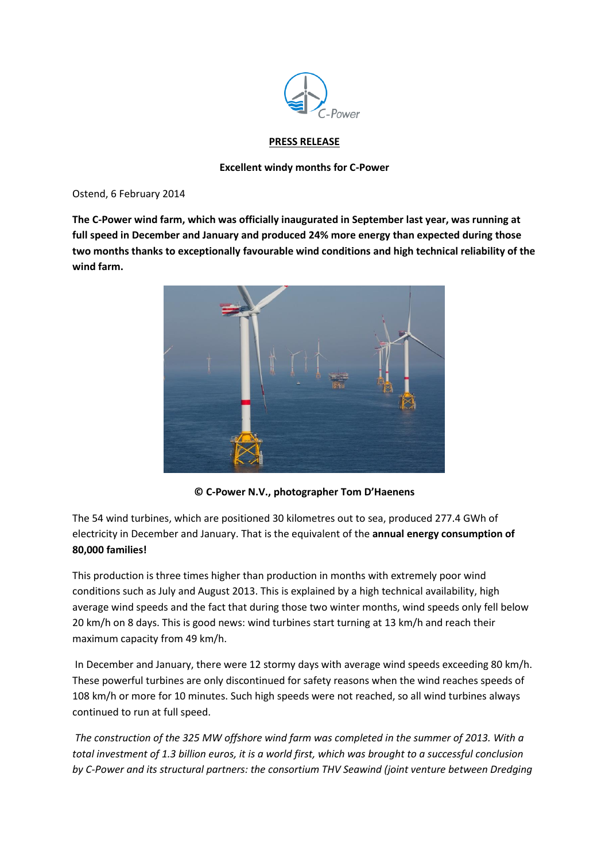

## **PRESS RELEASE**

## **Excellent windy months for C-Power**

Ostend, 6 February 2014

**The C-Power wind farm, which was officially inaugurated in September last year, was running at full speed in December and January and produced 24% more energy than expected during those two months thanks to exceptionally favourable wind conditions and high technical reliability of the wind farm.** 



**© C-Power N.V., photographer Tom D'Haenens**

The 54 wind turbines, which are positioned 30 kilometres out to sea, produced 277.4 GWh of electricity in December and January. That is the equivalent of the **annual energy consumption of 80,000 families!**

This production is three times higher than production in months with extremely poor wind conditions such as July and August 2013. This is explained by a high technical availability, high average wind speeds and the fact that during those two winter months, wind speeds only fell below 20 km/h on 8 days. This is good news: wind turbines start turning at 13 km/h and reach their maximum capacity from 49 km/h.

In December and January, there were 12 stormy days with average wind speeds exceeding 80 km/h. These powerful turbines are only discontinued for safety reasons when the wind reaches speeds of 108 km/h or more for 10 minutes. Such high speeds were not reached, so all wind turbines always continued to run at full speed.

*The construction of the 325 MW offshore wind farm was completed in the summer of 2013. With a total investment of 1.3 billion euros, it is a world first, which was brought to a successful conclusion by C-Power and its structural partners: the consortium THV Seawind (joint venture between Dredging*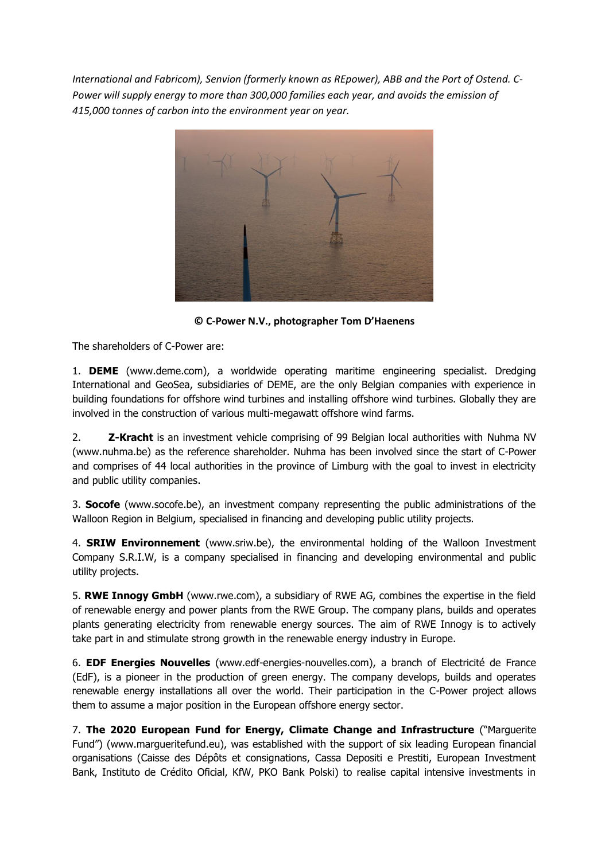*International and Fabricom), Senvion (formerly known as REpower), ABB and the Port of Ostend. C-Power will supply energy to more than 300,000 families each year, and avoids the emission of 415,000 tonnes of carbon into the environment year on year.*



**© C-Power N.V., photographer Tom D'Haenens**

The shareholders of C-Power are:

1. **DEME** (www.deme.com), a worldwide operating maritime engineering specialist. Dredging International and GeoSea, subsidiaries of DEME, are the only Belgian companies with experience in building foundations for offshore wind turbines and installing offshore wind turbines. Globally they are involved in the construction of various multi-megawatt offshore wind farms.

2. **Z-Kracht** is an investment vehicle comprising of 99 Belgian local authorities with Nuhma NV (www.nuhma.be) as the reference shareholder. Nuhma has been involved since the start of C-Power and comprises of 44 local authorities in the province of Limburg with the goal to invest in electricity and public utility companies.

3. **Socofe** (www.socofe.be), an investment company representing the public administrations of the Walloon Region in Belgium, specialised in financing and developing public utility projects.

4. **SRIW Environnement** (www.sriw.be), the environmental holding of the Walloon Investment Company S.R.I.W, is a company specialised in financing and developing environmental and public utility projects.

5. **RWE Innogy GmbH** (www.rwe.com), a subsidiary of RWE AG, combines the expertise in the field of renewable energy and power plants from the RWE Group. The company plans, builds and operates plants generating electricity from renewable energy sources. The aim of RWE Innogy is to actively take part in and stimulate strong growth in the renewable energy industry in Europe.

6. **EDF Energies Nouvelles** (www.edf-energies-nouvelles.com), a branch of Electricité de France (EdF), is a pioneer in the production of green energy. The company develops, builds and operates renewable energy installations all over the world. Their participation in the C-Power project allows them to assume a major position in the European offshore energy sector.

7. **The 2020 European Fund for Energy, Climate Change and Infrastructure** ("Marguerite Fund") (www.margueritefund.eu), was established with the support of six leading European financial organisations (Caisse des Dépôts et consignations, Cassa Depositi e Prestiti, European Investment Bank, Instituto de Crédito Oficial, KfW, PKO Bank Polski) to realise capital intensive investments in